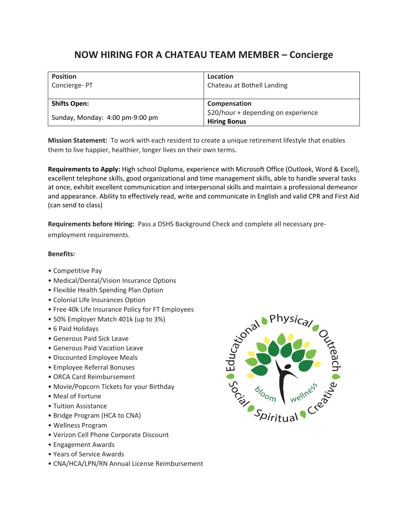## **NOW HIRING FOR A CHATEAU TEAM MEMBER – Concierge**

| <b>Position</b><br>Concierge-PT | Location<br>Chateau at Bothell Landing                     |
|---------------------------------|------------------------------------------------------------|
| <b>Shifts Open:</b>             | Compensation                                               |
| Sunday, Monday: 4:00 pm-9:00 pm | \$20/hour + depending on experience<br><b>Hiring Bonus</b> |

**Mission Statement:** To work with each resident to create a unique retirement lifestyle that enables them to live happier, healthier, longer lives on their own terms.

**Requirements to Apply:** High school Diploma, experience with Microsoft Office (Outlook, Word & Excel), excellent telephone skills, good organizational and time management skills, able to handle several tasks at once, exhibit excellent communication and interpersonal skills and maintain a professional demeanor and appearance. Ability to effectively read, write and communicate in English and valid CPR and First Aid (can send to class)

**Requirements before Hiring:** Pass a DSHS Background Check and complete all necessary pre-

employment requirements.

## **Benefits:**

- Competitive Pay
- Medical/Dental/Vision Insurance Options
- Flexible Health Spending Plan Option
- Colonial Life Insurances Option
- Free 40k Life Insurance Policy for FT Employees
- 50% Employer Match 401k (up to 3%)
- 6 Paid Holidays
- Generous Paid Sick Leave
- Generous Paid Vacation Leave
- Discounted Employee Meals
- Employee Referral Bonuses
- ORCA Card Reimbursement
- Movie/Popcorn Tickets for your Birthday
- Meal of Fortune
- Tuition Assistance
- Bridge Program (HCA to CNA)
- Wellness Program
- Verizon Cell Phone Corporate Discount
- Engagement Awards
- Years of Service Awards
- CNA/HCA/LPN/RN Annual License Reimbursement